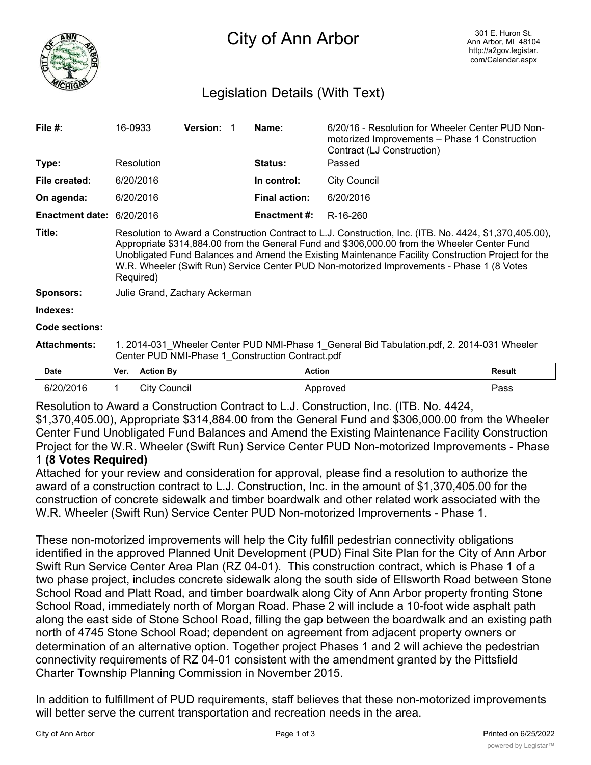

# City of Ann Arbor

## Legislation Details (With Text)

| File $#$ :             | 16-0933                                                                                                                                                                                                                                                                                                                                                                                                                 |                     | <b>Version:</b> |  | Name:                | 6/20/16 - Resolution for Wheeler Center PUD Non-<br>motorized Improvements - Phase 1 Construction<br>Contract (LJ Construction) |               |
|------------------------|-------------------------------------------------------------------------------------------------------------------------------------------------------------------------------------------------------------------------------------------------------------------------------------------------------------------------------------------------------------------------------------------------------------------------|---------------------|-----------------|--|----------------------|---------------------------------------------------------------------------------------------------------------------------------|---------------|
| Type:                  |                                                                                                                                                                                                                                                                                                                                                                                                                         | Resolution          |                 |  | <b>Status:</b>       | Passed                                                                                                                          |               |
| File created:          |                                                                                                                                                                                                                                                                                                                                                                                                                         | 6/20/2016           |                 |  | In control:          | <b>City Council</b>                                                                                                             |               |
| On agenda:             |                                                                                                                                                                                                                                                                                                                                                                                                                         | 6/20/2016           |                 |  | <b>Final action:</b> | 6/20/2016                                                                                                                       |               |
| <b>Enactment date:</b> |                                                                                                                                                                                                                                                                                                                                                                                                                         | 6/20/2016           |                 |  | Enactment #:         | R-16-260                                                                                                                        |               |
| Title:                 | Resolution to Award a Construction Contract to L.J. Construction, Inc. (ITB. No. 4424, \$1,370,405.00),<br>Appropriate \$314,884.00 from the General Fund and \$306,000.00 from the Wheeler Center Fund<br>Unobligated Fund Balances and Amend the Existing Maintenance Facility Construction Project for the<br>W.R. Wheeler (Swift Run) Service Center PUD Non-motorized Improvements - Phase 1 (8 Votes<br>Required) |                     |                 |  |                      |                                                                                                                                 |               |
| <b>Sponsors:</b>       | Julie Grand, Zachary Ackerman                                                                                                                                                                                                                                                                                                                                                                                           |                     |                 |  |                      |                                                                                                                                 |               |
| Indexes:               |                                                                                                                                                                                                                                                                                                                                                                                                                         |                     |                 |  |                      |                                                                                                                                 |               |
| Code sections:         |                                                                                                                                                                                                                                                                                                                                                                                                                         |                     |                 |  |                      |                                                                                                                                 |               |
| <b>Attachments:</b>    | 1. 2014-031 Wheeler Center PUD NMI-Phase 1 General Bid Tabulation.pdf, 2. 2014-031 Wheeler<br>Center PUD NMI-Phase 1 Construction Contract.pdf                                                                                                                                                                                                                                                                          |                     |                 |  |                      |                                                                                                                                 |               |
| Date                   | Ver.                                                                                                                                                                                                                                                                                                                                                                                                                    | <b>Action By</b>    |                 |  | <b>Action</b>        |                                                                                                                                 | <b>Result</b> |
| 6/20/2016              |                                                                                                                                                                                                                                                                                                                                                                                                                         | <b>City Council</b> |                 |  |                      | Approved                                                                                                                        | Pass          |

Resolution to Award a Construction Contract to L.J. Construction, Inc. (ITB. No. 4424,

\$1,370,405.00), Appropriate \$314,884.00 from the General Fund and \$306,000.00 from the Wheeler Center Fund Unobligated Fund Balances and Amend the Existing Maintenance Facility Construction Project for the W.R. Wheeler (Swift Run) Service Center PUD Non-motorized Improvements - Phase 1 **(8 Votes Required)**

Attached for your review and consideration for approval, please find a resolution to authorize the award of a construction contract to L.J. Construction, Inc. in the amount of \$1,370,405.00 for the construction of concrete sidewalk and timber boardwalk and other related work associated with the W.R. Wheeler (Swift Run) Service Center PUD Non-motorized Improvements - Phase 1.

These non-motorized improvements will help the City fulfill pedestrian connectivity obligations identified in the approved Planned Unit Development (PUD) Final Site Plan for the City of Ann Arbor Swift Run Service Center Area Plan (RZ 04-01). This construction contract, which is Phase 1 of a two phase project, includes concrete sidewalk along the south side of Ellsworth Road between Stone School Road and Platt Road, and timber boardwalk along City of Ann Arbor property fronting Stone School Road, immediately north of Morgan Road. Phase 2 will include a 10-foot wide asphalt path along the east side of Stone School Road, filling the gap between the boardwalk and an existing path north of 4745 Stone School Road; dependent on agreement from adjacent property owners or determination of an alternative option. Together project Phases 1 and 2 will achieve the pedestrian connectivity requirements of RZ 04-01 consistent with the amendment granted by the Pittsfield Charter Township Planning Commission in November 2015.

In addition to fulfillment of PUD requirements, staff believes that these non-motorized improvements will better serve the current transportation and recreation needs in the area.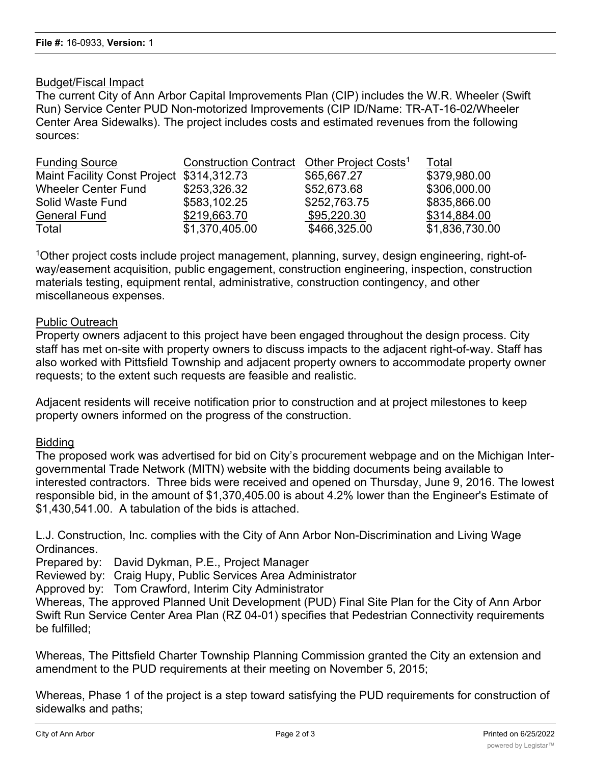### Budget/Fiscal Impact

The current City of Ann Arbor Capital Improvements Plan (CIP) includes the W.R. Wheeler (Swift Run) Service Center PUD Non-motorized Improvements (CIP ID/Name: TR-AT-16-02/Wheeler Center Area Sidewalks). The project includes costs and estimated revenues from the following sources:

| <b>Funding Source</b>                     | Construction Contract Other Project Costs <sup>1</sup> |              | Total          |
|-------------------------------------------|--------------------------------------------------------|--------------|----------------|
| Maint Facility Const Project \$314,312.73 |                                                        | \$65,667.27  | \$379,980.00   |
| <b>Wheeler Center Fund</b>                | \$253,326.32                                           | \$52,673.68  | \$306,000.00   |
| Solid Waste Fund                          | \$583,102.25                                           | \$252,763.75 | \$835,866.00   |
| <b>General Fund</b>                       | \$219,663.70                                           | \$95,220.30  | \$314,884.00   |
| Total                                     | \$1,370,405.00                                         | \$466,325.00 | \$1,836,730.00 |

1Other project costs include project management, planning, survey, design engineering, right-ofway/easement acquisition, public engagement, construction engineering, inspection, construction materials testing, equipment rental, administrative, construction contingency, and other miscellaneous expenses.

#### Public Outreach

Property owners adjacent to this project have been engaged throughout the design process. City staff has met on-site with property owners to discuss impacts to the adjacent right-of-way. Staff has also worked with Pittsfield Township and adjacent property owners to accommodate property owner requests; to the extent such requests are feasible and realistic.

Adjacent residents will receive notification prior to construction and at project milestones to keep property owners informed on the progress of the construction.

#### Bidding

The proposed work was advertised for bid on City's procurement webpage and on the Michigan Intergovernmental Trade Network (MITN) website with the bidding documents being available to interested contractors. Three bids were received and opened on Thursday, June 9, 2016. The lowest responsible bid, in the amount of \$1,370,405.00 is about 4.2% lower than the Engineer's Estimate of \$1,430,541.00. A tabulation of the bids is attached.

L.J. Construction, Inc. complies with the City of Ann Arbor Non-Discrimination and Living Wage Ordinances.

Prepared by: David Dykman, P.E., Project Manager

Reviewed by: Craig Hupy, Public Services Area Administrator

Approved by: Tom Crawford, Interim City Administrator

Whereas, The approved Planned Unit Development (PUD) Final Site Plan for the City of Ann Arbor Swift Run Service Center Area Plan (RZ 04-01) specifies that Pedestrian Connectivity requirements be fulfilled;

Whereas, The Pittsfield Charter Township Planning Commission granted the City an extension and amendment to the PUD requirements at their meeting on November 5, 2015;

Whereas, Phase 1 of the project is a step toward satisfying the PUD requirements for construction of sidewalks and paths;